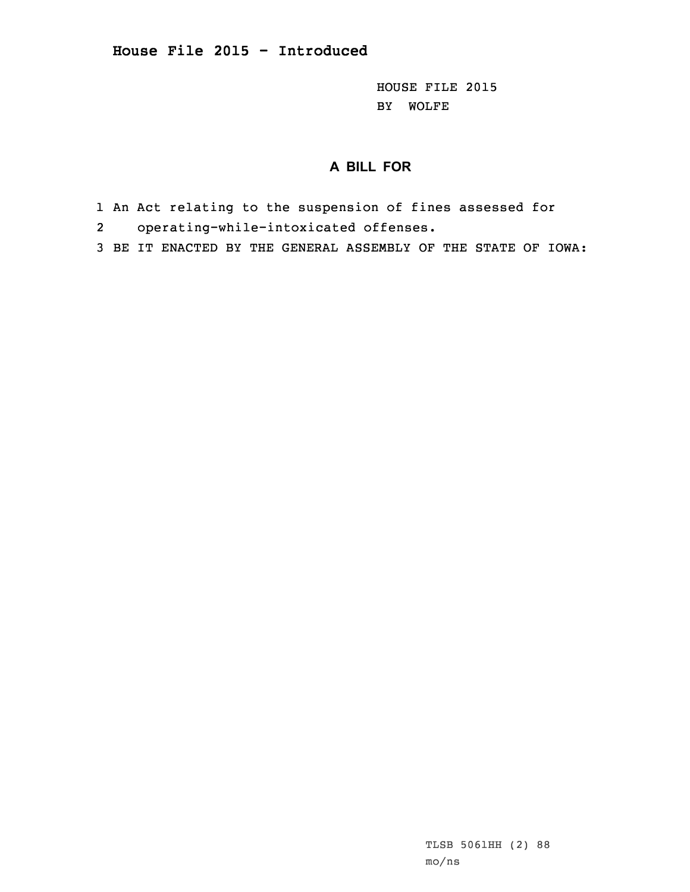HOUSE FILE 2015 BY WOLFE

## **A BILL FOR**

- 1 An Act relating to the suspension of fines assessed for
- 2operating-while-intoxicated offenses.
- 3 BE IT ENACTED BY THE GENERAL ASSEMBLY OF THE STATE OF IOWA: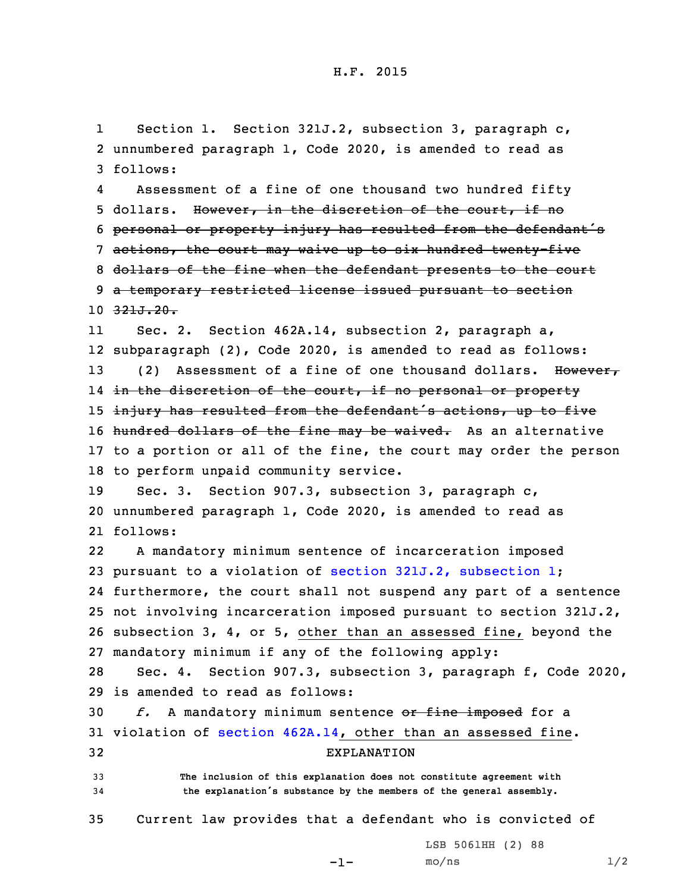1 Section 1. Section 321J.2, subsection 3, paragraph c, 2 unnumbered paragraph 1, Code 2020, is amended to read as 3 follows:

4 Assessment of <sup>a</sup> fine of one thousand two hundred fifty 5 dollars. However, in the discretion of the court, if no <sup>6</sup> personal or property injury has resulted from the defendant's 7 actions, the court may waive up to six hundred twenty-five 8 dollars of the fine when the defendant presents to the court 9 <sup>a</sup> temporary restricted license issued pursuant to section 10 321J.20.

11 Sec. 2. Section 462A.14, subsection 2, paragraph a, 12 subparagraph (2), Code 2020, is amended to read as follows: 13 (2) Assessment of a fine of one thousand dollars. However, 14 <del>in the discretion of the court, if no personal or property</del> 15 injury has resulted from the defendant's actions, up to five 16 hundred dollars of the fine may be waived. As an alternative 17 to <sup>a</sup> portion or all of the fine, the court may order the person 18 to perform unpaid community service.

19 Sec. 3. Section 907.3, subsection 3, paragraph c, 20 unnumbered paragraph 1, Code 2020, is amended to read as 21 follows:

22 <sup>A</sup> mandatory minimum sentence of incarceration imposed pursuant to <sup>a</sup> violation of section 321J.2, [subsection](https://www.legis.iowa.gov/docs/code/2020/321J.2.pdf) 1; furthermore, the court shall not suspend any part of <sup>a</sup> sentence not involving incarceration imposed pursuant to section 321J.2, subsection 3, 4, or 5, other than an assessed fine, beyond the mandatory minimum if any of the following apply:

28 Sec. 4. Section 907.3, subsection 3, paragraph f, Code 2020, 29 is amended to read as follows:

 *f.* <sup>A</sup> mandatory minimum sentence or fine imposed for <sup>a</sup> violation of section [462A.14](https://www.legis.iowa.gov/docs/code/2020/462A.14.pdf), other than an assessed fine. EXPLANATION **The inclusion of this explanation does not constitute agreement with the explanation's substance by the members of the general assembly.**

35 Current law provides that <sup>a</sup> defendant who is convicted of

LSB 5061HH (2) 88

```
-1-
```